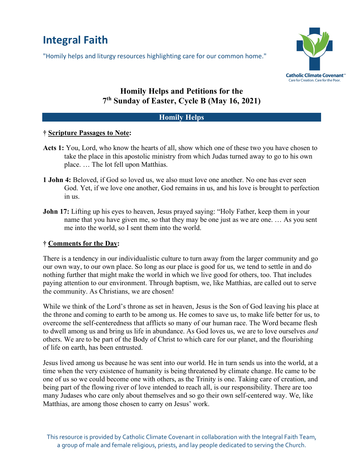# **Integral Faith**

"Homily helps and liturgy resources highlighting care for our common home."



# **Homily Helps and Petitions for the 7th Sunday of Easter, Cycle B (May 16, 2021)**

### **Homily Helps**

### **† Scripture Passages to Note:**

- **Acts 1:** You, Lord, who know the hearts of all, show which one of these two you have chosen to take the place in this apostolic ministry from which Judas turned away to go to his own place. … The lot fell upon Matthias.
- **1 John 4:** Beloved, if God so loved us, we also must love one another. No one has ever seen God. Yet, if we love one another, God remains in us, and his love is brought to perfection in us.
- John 17: Lifting up his eyes to heaven, Jesus prayed saying: "Holy Father, keep them in your name that you have given me, so that they may be one just as we are one. … As you sent me into the world, so I sent them into the world.

## **† Comments for the Day:**

There is a tendency in our individualistic culture to turn away from the larger community and go our own way, to our own place. So long as our place is good for us, we tend to settle in and do nothing further that might make the world in which we live good for others, too. That includes paying attention to our environment. Through baptism, we, like Matthias, are called out to serve the community. As Christians, we are chosen!

While we think of the Lord's throne as set in heaven, Jesus is the Son of God leaving his place at the throne and coming to earth to be among us. He comes to save us, to make life better for us, to overcome the self-centeredness that afflicts so many of our human race. The Word became flesh to dwell among us and bring us life in abundance. As God loves us, we are to love ourselves *and*  others. We are to be part of the Body of Christ to which care for our planet, and the flourishing of life on earth, has been entrusted.

Jesus lived among us because he was sent into our world. He in turn sends us into the world, at a time when the very existence of humanity is being threatened by climate change. He came to be one of us so we could become one with others, as the Trinity is one. Taking care of creation, and being part of the flowing river of love intended to reach all, is our responsibility. There are too many Judases who care only about themselves and so go their own self-centered way. We, like Matthias, are among those chosen to carry on Jesus' work.